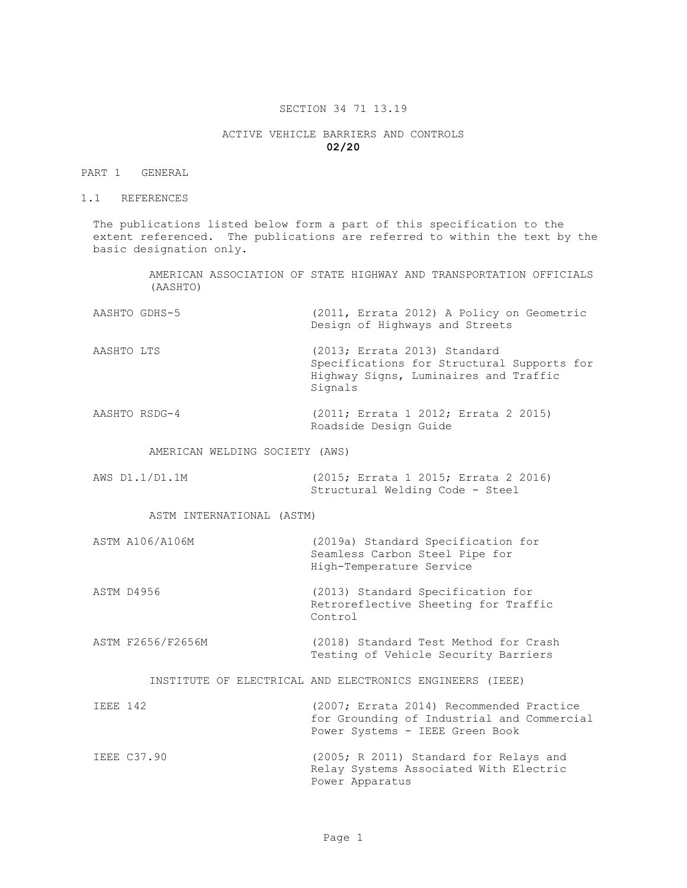## SECTION 34 71 13.19

## ACTIVE VEHICLE BARRIERS AND CONTROLS **02/20**

## PART 1 GENERAL

1.1 REFERENCES

The publications listed below form a part of this specification to the extent referenced. The publications are referred to within the text by the basic designation only.

> AMERICAN ASSOCIATION OF STATE HIGHWAY AND TRANSPORTATION OFFICIALS (AASHTO)

| AASHTO GDHS-5 |                                |  |  |  | (2011, Errata 2012) A Policy on Geometric |
|---------------|--------------------------------|--|--|--|-------------------------------------------|
|               | Design of Highways and Streets |  |  |  |                                           |

AASHTO LTS (2013; Errata 2013) Standard Specifications for Structural Supports for Highway Signs, Luminaires and Traffic Signals

AASHTO RSDG-4 (2011; Errata 1 2012; Errata 2 2015) Roadside Design Guide

AMERICAN WELDING SOCIETY (AWS)

AWS D1.1/D1.1M (2015; Errata 1 2015; Errata 2 2016) Structural Welding Code - Steel

ASTM INTERNATIONAL (ASTM)

| ASTM A106/A106M | (2019a) Standard Specification for |
|-----------------|------------------------------------|
|                 | Seamless Carbon Steel Pipe for     |
|                 | High-Temperature Service           |
|                 |                                    |

ASTM D4956 (2013) Standard Specification for Retroreflective Sheeting for Traffic Control

ASTM F2656/F2656M (2018) Standard Test Method for Crash Testing of Vehicle Security Barriers

INSTITUTE OF ELECTRICAL AND ELECTRONICS ENGINEERS (IEEE)

| IEEE 142 |             | (2007; Errata 2014) Recommended Practice   |
|----------|-------------|--------------------------------------------|
|          |             | for Grounding of Industrial and Commercial |
|          |             | Power Systems - IEEE Green Book            |
|          | IEEE C37.90 | (2005; R 2011) Standard for Relays and     |
|          |             | Relay Systems Associated With Electric     |
|          |             | Power Apparatus                            |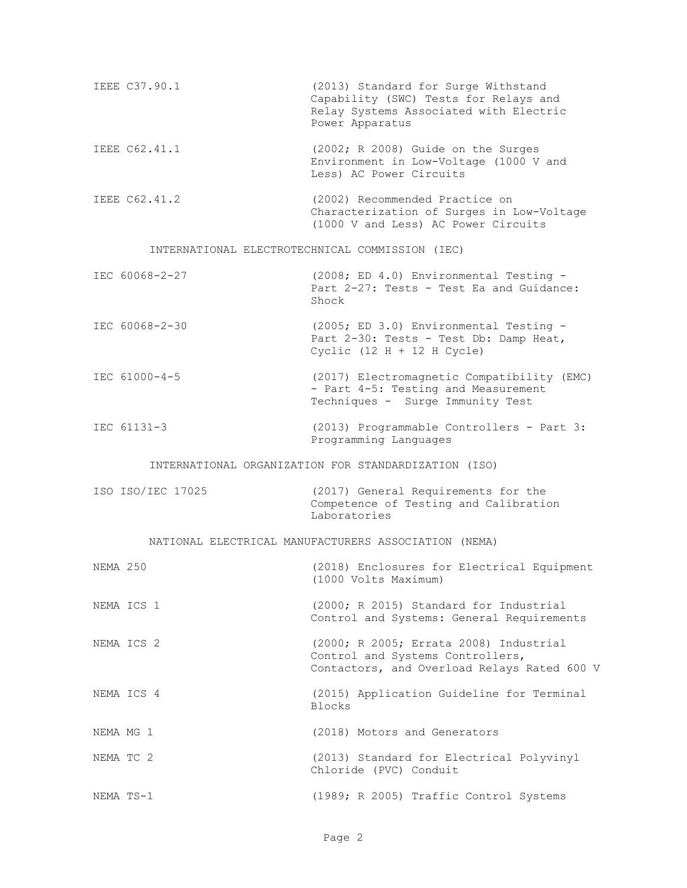| IEEE C37.90.1 | (2013) Standard for Surge Withstand<br>Capability (SWC) Tests for Relays and<br>Relay Systems Associated with Electric<br>Power Apparatus |
|---------------|-------------------------------------------------------------------------------------------------------------------------------------------|
| IEEE C62.41.1 | $(2002; R 2008)$ Guide on the Surges<br>Environment in Low-Voltage (1000 V and<br>Less) AC Power Circuits                                 |
| IEEE C62.41.2 | (2002) Recommended Practice on<br>Characterization of Surges in Low-Voltage<br>(1000 V and Less) AC Power Circuits                        |

## INTERNATIONAL ELECTROTECHNICAL COMMISSION (IEC)

| IEC 60068-2-27 | $(2008; ED 4.0)$ Environmental Testing - |
|----------------|------------------------------------------|
|                | Part 2-27: Tests - Test Ea and Guidance: |
|                | Shock                                    |

- IEC 60068-2-30 (2005; ED 3.0) Environmental Testing Part 2-30: Tests - Test Db: Damp Heat, Cyclic  $(12 H + 12 H Cycle)$
- IEC 61000-4-5 (2017) Electromagnetic Compatibility (EMC) - Part 4-5: Testing and Measurement Techniques - Surge Immunity Test
- IEC 61131-3 (2013) Programmable Controllers Part 3: Programming Languages

INTERNATIONAL ORGANIZATION FOR STANDARDIZATION (ISO)

| ISO ISO/IEC 17025 |  |              | (2017) General Requirements for the   |  |  |
|-------------------|--|--------------|---------------------------------------|--|--|
|                   |  |              | Competence of Testing and Calibration |  |  |
|                   |  | Laboratories |                                       |  |  |

#### NATIONAL ELECTRICAL MANUFACTURERS ASSOCIATION (NEMA)

| NEMA 250  |            | (2018) Enclosures for Electrical Equipment<br>(1000 Volts Maximum)                                                        |
|-----------|------------|---------------------------------------------------------------------------------------------------------------------------|
|           | NEMA ICS 1 | (2000; R 2015) Standard for Industrial<br>Control and Systems: General Requirements                                       |
|           | NEMA ICS 2 | (2000; R 2005; Errata 2008) Industrial<br>Control and Systems Controllers,<br>Contactors, and Overload Relays Rated 600 V |
|           | NEMA ICS 4 | (2015) Application Guideline for Terminal<br><b>Blocks</b>                                                                |
| NEMA MG 1 |            | (2018) Motors and Generators                                                                                              |
| NEMA TC 2 |            | (2013) Standard for Electrical Polyvinyl<br>Chloride (PVC) Conduit                                                        |
| NEMA TS-1 |            | (1989; R 2005) Traffic Control Systems                                                                                    |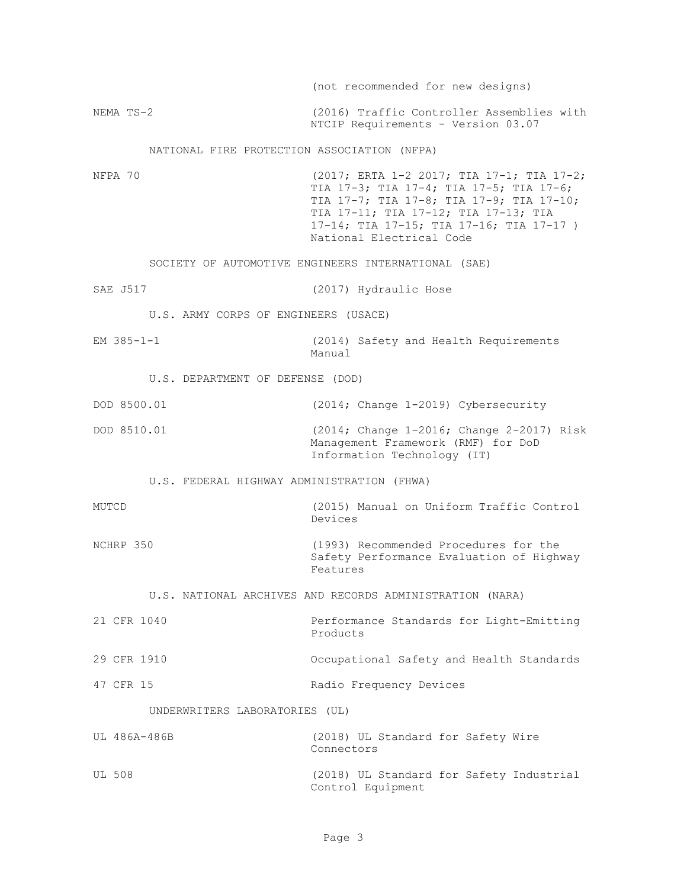|                                             | (not recommended for new designs)                                                                                                                                                                                                               |
|---------------------------------------------|-------------------------------------------------------------------------------------------------------------------------------------------------------------------------------------------------------------------------------------------------|
| NEMA TS-2                                   | (2016) Traffic Controller Assemblies with<br>NTCIP Requirements - Version 03.07                                                                                                                                                                 |
| NATIONAL FIRE PROTECTION ASSOCIATION (NFPA) |                                                                                                                                                                                                                                                 |
| NFPA 70                                     | (2017; ERTA 1-2 2017; TIA 17-1; TIA 17-2;<br>TIA 17-3; TIA 17-4; TIA 17-5; TIA 17-6;<br>TIA 17-7; TIA 17-8; TIA 17-9; TIA 17-10;<br>TIA 17-11; TIA 17-12; TIA 17-13; TIA<br>17-14; TIA 17-15; TIA 17-16; TIA 17-17)<br>National Electrical Code |
|                                             | SOCIETY OF AUTOMOTIVE ENGINEERS INTERNATIONAL (SAE)                                                                                                                                                                                             |
| SAE J517                                    | (2017) Hydraulic Hose                                                                                                                                                                                                                           |
| U.S. ARMY CORPS OF ENGINEERS (USACE)        |                                                                                                                                                                                                                                                 |
| EM $385 - 1 - 1$                            | (2014) Safety and Health Requirements<br>Manual                                                                                                                                                                                                 |
| U.S. DEPARTMENT OF DEFENSE (DOD)            |                                                                                                                                                                                                                                                 |
| DOD 8500.01                                 | (2014; Change 1-2019) Cybersecurity                                                                                                                                                                                                             |
| DOD 8510.01                                 | (2014; Change 1-2016; Change 2-2017) Risk<br>Management Framework (RMF) for DoD<br>Information Technology (IT)                                                                                                                                  |
| U.S. FEDERAL HIGHWAY ADMINISTRATION (FHWA)  |                                                                                                                                                                                                                                                 |
| MUTCD                                       | (2015) Manual on Uniform Traffic Control<br>Devices                                                                                                                                                                                             |
| NCHRP 350                                   | (1993) Recommended Procedures for the<br>Safety Performance Evaluation of Highway<br>Features                                                                                                                                                   |
|                                             | U.S. NATIONAL ARCHIVES AND RECORDS ADMINISTRATION (NARA)                                                                                                                                                                                        |
| 21 CFR 1040                                 | Performance Standards for Light-Emitting<br>Products                                                                                                                                                                                            |
| 29 CFR 1910                                 | Occupational Safety and Health Standards                                                                                                                                                                                                        |
| 47 CFR 15                                   | Radio Frequency Devices                                                                                                                                                                                                                         |
| UNDERWRITERS LABORATORIES (UL)              |                                                                                                                                                                                                                                                 |
| UL 486A-486B                                | (2018) UL Standard for Safety Wire<br>Connectors                                                                                                                                                                                                |
| UL 508                                      | (2018) UL Standard for Safety Industrial<br>Control Equipment                                                                                                                                                                                   |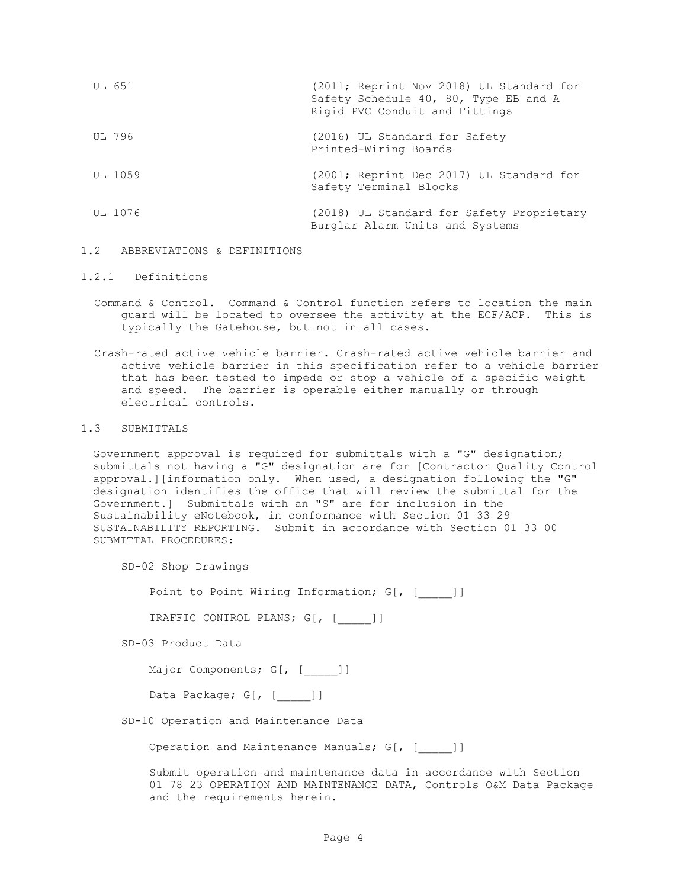| UL 651  | (2011; Reprint Nov 2018) UL Standard for<br>Safety Schedule 40, 80, Type EB and A<br>Rigid PVC Conduit and Fittings |
|---------|---------------------------------------------------------------------------------------------------------------------|
| UL 796  | (2016) UL Standard for Safety<br>Printed-Wiring Boards                                                              |
| UL 1059 | (2001; Reprint Dec 2017) UL Standard for<br>Safety Terminal Blocks                                                  |
| UL 1076 | (2018) UL Standard for Safety Proprietary<br>Burglar Alarm Units and Systems                                        |

## 1.2 ABBREVIATIONS & DEFINITIONS

# 1.2.1 Definitions

- Command & Control. Command & Control function refers to location the main guard will be located to oversee the activity at the ECF/ACP. This is typically the Gatehouse, but not in all cases.
- Crash-rated active vehicle barrier. Crash-rated active vehicle barrier and active vehicle barrier in this specification refer to a vehicle barrier that has been tested to impede or stop a vehicle of a specific weight and speed. The barrier is operable either manually or through electrical controls.

### 1.3 SUBMITTALS

Government approval is required for submittals with a "G" designation; submittals not having a "G" designation are for [Contractor Quality Control approval.][information only. When used, a designation following the "G" designation identifies the office that will review the submittal for the Government.] Submittals with an "S" are for inclusion in the Sustainability eNotebook, in conformance with Section 01 33 29 SUSTAINABILITY REPORTING. Submit in accordance with Section 01 33 00 SUBMITTAL PROCEDURES:

SD-02 Shop Drawings

Point to Point Wiring Information; G[, [ ]]

TRAFFIC CONTROL PLANS; G[, [\_\_\_\_\_]]

SD-03 Product Data

Major Components; G[, [ ]]

Data Package; G[, [\_\_\_\_\_]]

SD-10 Operation and Maintenance Data

Operation and Maintenance Manuals; G[, [ ]]

Submit operation and maintenance data in accordance with Section 01 78 23 OPERATION AND MAINTENANCE DATA, Controls O&M Data Package and the requirements herein.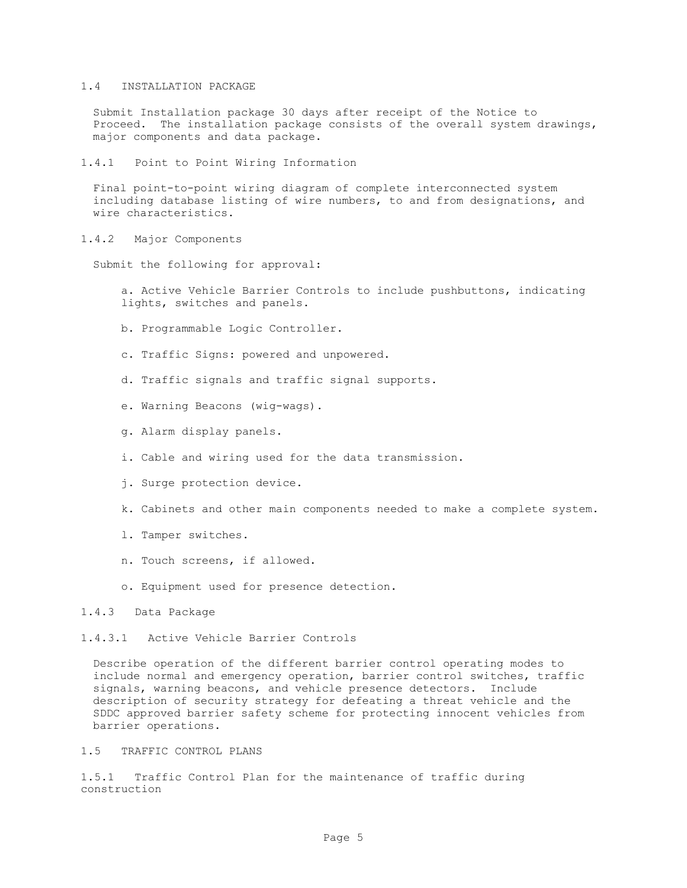## 1.4 INSTALLATION PACKAGE

Submit Installation package 30 days after receipt of the Notice to Proceed. The installation package consists of the overall system drawings, major components and data package.

1.4.1 Point to Point Wiring Information

Final point-to-point wiring diagram of complete interconnected system including database listing of wire numbers, to and from designations, and wire characteristics.

1.4.2 Major Components

Submit the following for approval:

a. Active Vehicle Barrier Controls to include pushbuttons, indicating lights, switches and panels.

- b. Programmable Logic Controller.
- c. Traffic Signs: powered and unpowered.
- d. Traffic signals and traffic signal supports.
- e. Warning Beacons (wig-wags).
- g. Alarm display panels.
- i. Cable and wiring used for the data transmission.
- j. Surge protection device.
- k. Cabinets and other main components needed to make a complete system.
- l. Tamper switches.
- n. Touch screens, if allowed.
- o. Equipment used for presence detection.
- 1.4.3 Data Package

### 1.4.3.1 Active Vehicle Barrier Controls

Describe operation of the different barrier control operating modes to include normal and emergency operation, barrier control switches, traffic signals, warning beacons, and vehicle presence detectors. Include description of security strategy for defeating a threat vehicle and the SDDC approved barrier safety scheme for protecting innocent vehicles from barrier operations.

### 1.5 TRAFFIC CONTROL PLANS

1.5.1 Traffic Control Plan for the maintenance of traffic during construction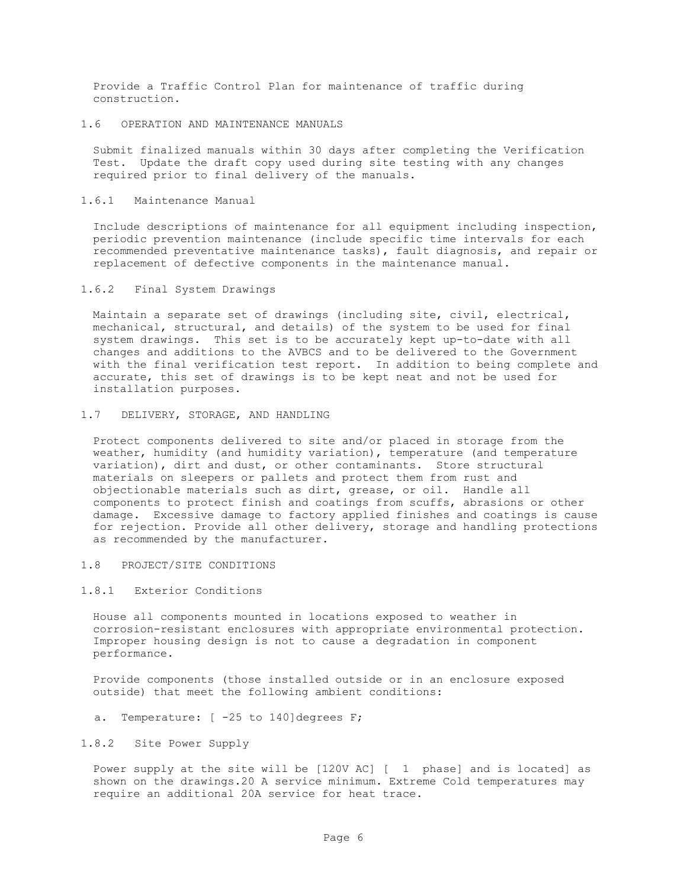Provide a Traffic Control Plan for maintenance of traffic during construction.

### 1.6 OPERATION AND MAINTENANCE MANUALS

Submit finalized manuals within 30 days after completing the Verification Test. Update the draft copy used during site testing with any changes required prior to final delivery of the manuals.

### 1.6.1 Maintenance Manual

Include descriptions of maintenance for all equipment including inspection, periodic prevention maintenance (include specific time intervals for each recommended preventative maintenance tasks), fault diagnosis, and repair or replacement of defective components in the maintenance manual.

### 1.6.2 Final System Drawings

Maintain a separate set of drawings (including site, civil, electrical, mechanical, structural, and details) of the system to be used for final system drawings. This set is to be accurately kept up-to-date with all changes and additions to the AVBCS and to be delivered to the Government with the final verification test report. In addition to being complete and accurate, this set of drawings is to be kept neat and not be used for installation purposes.

### 1.7 DELIVERY, STORAGE, AND HANDLING

Protect components delivered to site and/or placed in storage from the weather, humidity (and humidity variation), temperature (and temperature variation), dirt and dust, or other contaminants. Store structural materials on sleepers or pallets and protect them from rust and objectionable materials such as dirt, grease, or oil. Handle all components to protect finish and coatings from scuffs, abrasions or other damage. Excessive damage to factory applied finishes and coatings is cause for rejection. Provide all other delivery, storage and handling protections as recommended by the manufacturer.

#### 1.8 PROJECT/SITE CONDITIONS

### 1.8.1 Exterior Conditions

House all components mounted in locations exposed to weather in corrosion-resistant enclosures with appropriate environmental protection. Improper housing design is not to cause a degradation in component performance.

Provide components (those installed outside or in an enclosure exposed outside) that meet the following ambient conditions:

a. Temperature: [ -25 to 140] degrees F;

## 1.8.2 Site Power Supply

Power supply at the site will be [120V AC] [ 1 phase] and is located] as shown on the drawings.20 A service minimum. Extreme Cold temperatures may require an additional 20A service for heat trace.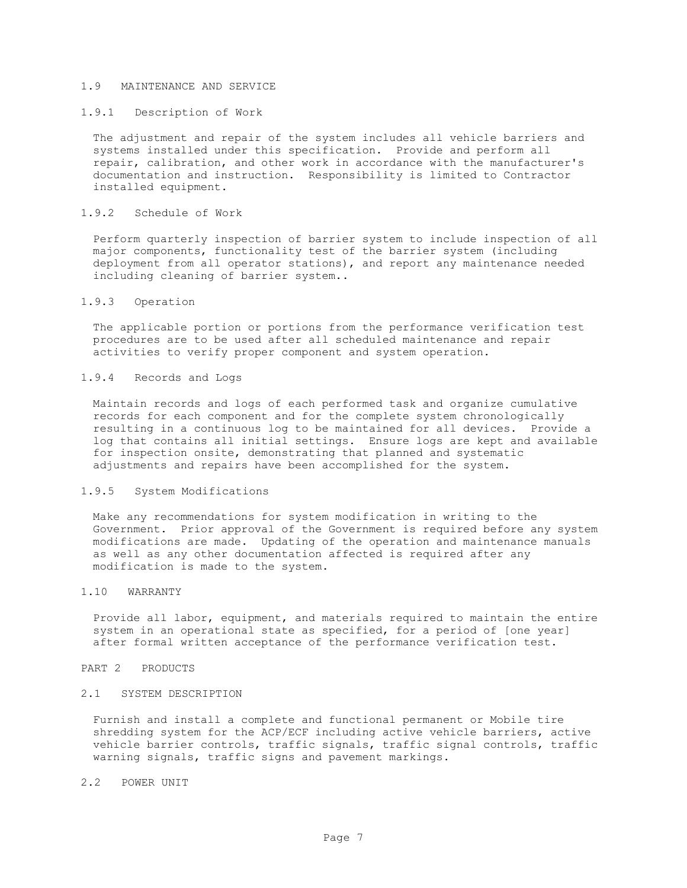## 1.9 MAINTENANCE AND SERVICE

### 1.9.1 Description of Work

The adjustment and repair of the system includes all vehicle barriers and systems installed under this specification. Provide and perform all repair, calibration, and other work in accordance with the manufacturer's documentation and instruction. Responsibility is limited to Contractor installed equipment.

#### 1.9.2 Schedule of Work

Perform quarterly inspection of barrier system to include inspection of all major components, functionality test of the barrier system (including deployment from all operator stations), and report any maintenance needed including cleaning of barrier system..

### 1.9.3 Operation

The applicable portion or portions from the performance verification test procedures are to be used after all scheduled maintenance and repair activities to verify proper component and system operation.

### 1.9.4 Records and Logs

Maintain records and logs of each performed task and organize cumulative records for each component and for the complete system chronologically resulting in a continuous log to be maintained for all devices. Provide a log that contains all initial settings. Ensure logs are kept and available for inspection onsite, demonstrating that planned and systematic adjustments and repairs have been accomplished for the system.

#### 1.9.5 System Modifications

Make any recommendations for system modification in writing to the Government. Prior approval of the Government is required before any system modifications are made. Updating of the operation and maintenance manuals as well as any other documentation affected is required after any modification is made to the system.

### 1.10 WARRANTY

Provide all labor, equipment, and materials required to maintain the entire system in an operational state as specified, for a period of [one year] after formal written acceptance of the performance verification test.

### PART 2 PRODUCTS

### 2.1 SYSTEM DESCRIPTION

Furnish and install a complete and functional permanent or Mobile tire shredding system for the ACP/ECF including active vehicle barriers, active vehicle barrier controls, traffic signals, traffic signal controls, traffic warning signals, traffic signs and pavement markings.

## 2.2 POWER UNIT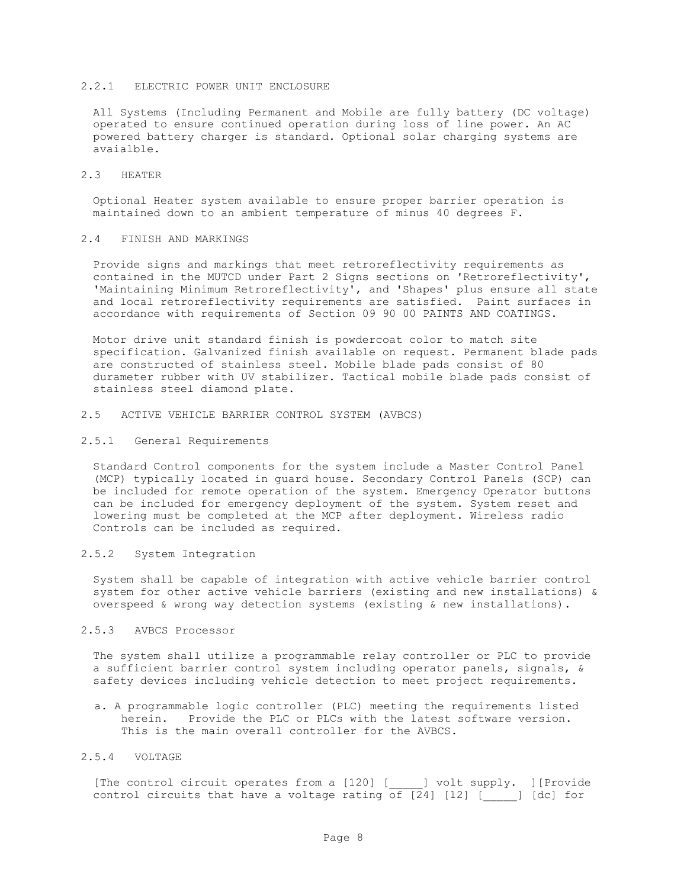## 2.2.1 ELECTRIC POWER UNIT ENCLOSURE

All Systems (Including Permanent and Mobile are fully battery (DC voltage) operated to ensure continued operation during loss of line power. An AC powered battery charger is standard. Optional solar charging systems are avaialble.

#### 2.3 HEATER

Optional Heater system available to ensure proper barrier operation is maintained down to an ambient temperature of minus 40 degrees F.

### 2.4 FINISH AND MARKINGS

Provide signs and markings that meet retroreflectivity requirements as contained in the MUTCD under Part 2 Signs sections on 'Retroreflectivity', 'Maintaining Minimum Retroreflectivity', and 'Shapes' plus ensure all state and local retroreflectivity requirements are satisfied. Paint surfaces in accordance with requirements of Section 09 90 00 PAINTS AND COATINGS.

Motor drive unit standard finish is powdercoat color to match site specification. Galvanized finish available on request. Permanent blade pads are constructed of stainless steel. Mobile blade pads consist of 80 durameter rubber with UV stabilizer. Tactical mobile blade pads consist of stainless steel diamond plate.

### 2.5 ACTIVE VEHICLE BARRIER CONTROL SYSTEM (AVBCS)

#### 2.5.1 General Requirements

Standard Control components for the system include a Master Control Panel (MCP) typically located in guard house. Secondary Control Panels (SCP) can be included for remote operation of the system. Emergency Operator buttons can be included for emergency deployment of the system. System reset and lowering must be completed at the MCP after deployment. Wireless radio Controls can be included as required.

#### 2.5.2 System Integration

System shall be capable of integration with active vehicle barrier control system for other active vehicle barriers (existing and new installations) & overspeed & wrong way detection systems (existing & new installations).

#### 2.5.3 AVBCS Processor

The system shall utilize a programmable relay controller or PLC to provide a sufficient barrier control system including operator panels, signals, & safety devices including vehicle detection to meet project requirements.

a. A programmable logic controller (PLC) meeting the requirements listed herein. Provide the PLC or PLCs with the latest software version. This is the main overall controller for the AVBCS.

#### 2.5.4 VOLTAGE

[The control circuit operates from a [120] [\_\_\_\_\_] volt supply. ][Provide control circuits that have a voltage rating of  $[24]$  [12] [  $\qquad$  ] [dc] for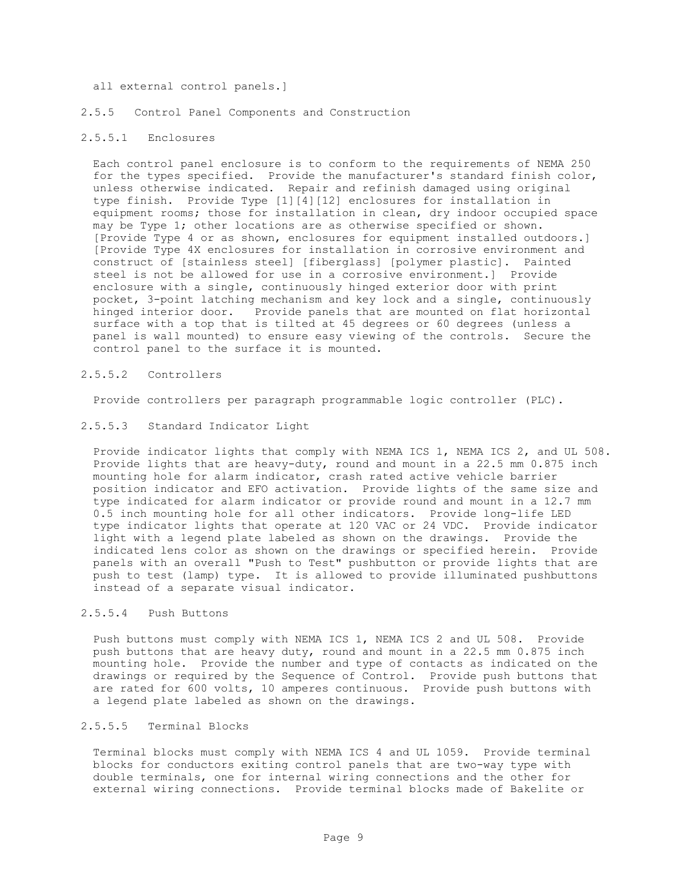### all external control panels.]

#### 2.5.5 Control Panel Components and Construction

### 2.5.5.1 Enclosures

Each control panel enclosure is to conform to the requirements of NEMA 250 for the types specified. Provide the manufacturer's standard finish color, unless otherwise indicated. Repair and refinish damaged using original type finish. Provide Type [1][4][12] enclosures for installation in equipment rooms; those for installation in clean, dry indoor occupied space may be Type 1; other locations are as otherwise specified or shown. [Provide Type 4 or as shown, enclosures for equipment installed outdoors.] [Provide Type 4X enclosures for installation in corrosive environment and construct of [stainless steel] [fiberglass] [polymer plastic]. Painted steel is not be allowed for use in a corrosive environment.] Provide enclosure with a single, continuously hinged exterior door with print pocket, 3-point latching mechanism and key lock and a single, continuously hinged interior door. Provide panels that are mounted on flat horizontal surface with a top that is tilted at 45 degrees or 60 degrees (unless a panel is wall mounted) to ensure easy viewing of the controls. Secure the control panel to the surface it is mounted.

### 2.5.5.2 Controllers

Provide controllers per paragraph programmable logic controller (PLC).

### 2.5.5.3 Standard Indicator Light

Provide indicator lights that comply with NEMA ICS 1, NEMA ICS 2, and UL 508. Provide lights that are heavy-duty, round and mount in a 22.5 mm 0.875 inch mounting hole for alarm indicator, crash rated active vehicle barrier position indicator and EFO activation. Provide lights of the same size and type indicated for alarm indicator or provide round and mount in a 12.7 mm 0.5 inch mounting hole for all other indicators. Provide long-life LED type indicator lights that operate at 120 VAC or 24 VDC. Provide indicator light with a legend plate labeled as shown on the drawings. Provide the indicated lens color as shown on the drawings or specified herein. Provide panels with an overall "Push to Test" pushbutton or provide lights that are push to test (lamp) type. It is allowed to provide illuminated pushbuttons instead of a separate visual indicator.

### 2.5.5.4 Push Buttons

Push buttons must comply with NEMA ICS 1, NEMA ICS 2 and UL 508. Provide push buttons that are heavy duty, round and mount in a 22.5 mm 0.875 inch mounting hole. Provide the number and type of contacts as indicated on the drawings or required by the Sequence of Control. Provide push buttons that are rated for 600 volts, 10 amperes continuous. Provide push buttons with a legend plate labeled as shown on the drawings.

## 2.5.5.5 Terminal Blocks

Terminal blocks must comply with NEMA ICS 4 and UL 1059. Provide terminal blocks for conductors exiting control panels that are two-way type with double terminals, one for internal wiring connections and the other for external wiring connections. Provide terminal blocks made of Bakelite or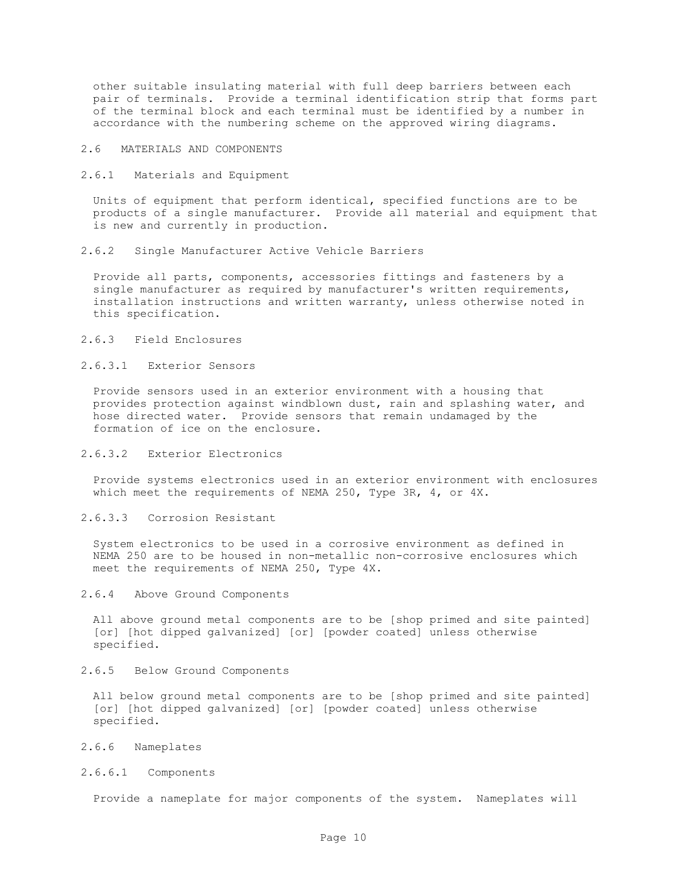other suitable insulating material with full deep barriers between each pair of terminals. Provide a terminal identification strip that forms part of the terminal block and each terminal must be identified by a number in accordance with the numbering scheme on the approved wiring diagrams.

## 2.6 MATERIALS AND COMPONENTS

2.6.1 Materials and Equipment

Units of equipment that perform identical, specified functions are to be products of a single manufacturer. Provide all material and equipment that is new and currently in production.

2.6.2 Single Manufacturer Active Vehicle Barriers

Provide all parts, components, accessories fittings and fasteners by a single manufacturer as required by manufacturer's written requirements, installation instructions and written warranty, unless otherwise noted in this specification.

2.6.3 Field Enclosures

## 2.6.3.1 Exterior Sensors

Provide sensors used in an exterior environment with a housing that provides protection against windblown dust, rain and splashing water, and hose directed water. Provide sensors that remain undamaged by the formation of ice on the enclosure.

### 2.6.3.2 Exterior Electronics

Provide systems electronics used in an exterior environment with enclosures which meet the requirements of NEMA 250, Type 3R, 4, or 4X.

2.6.3.3 Corrosion Resistant

System electronics to be used in a corrosive environment as defined in NEMA 250 are to be housed in non-metallic non-corrosive enclosures which meet the requirements of NEMA 250, Type 4X.

2.6.4 Above Ground Components

All above ground metal components are to be [shop primed and site painted] [or] [hot dipped galvanized] [or] [powder coated] unless otherwise specified.

2.6.5 Below Ground Components

All below ground metal components are to be [shop primed and site painted] [or] [hot dipped galvanized] [or] [powder coated] unless otherwise specified.

- 2.6.6 Nameplates
- 2.6.6.1 Components

Provide a nameplate for major components of the system. Nameplates will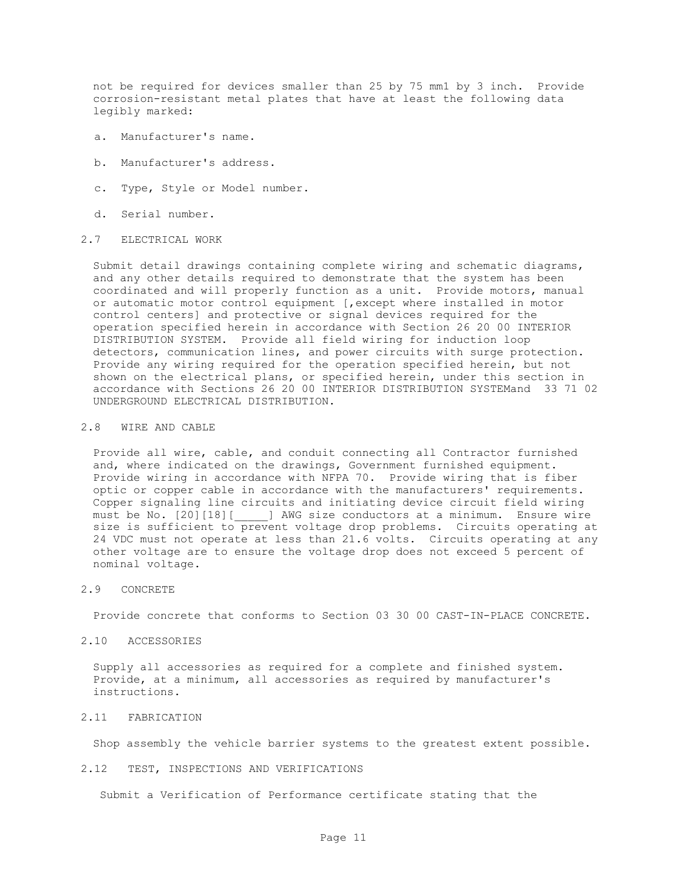not be required for devices smaller than 25 by 75 mm1 by 3 inch. Provide corrosion-resistant metal plates that have at least the following data legibly marked:

- a. Manufacturer's name.
- b. Manufacturer's address.
- c. Type, Style or Model number.
- d. Serial number.

#### 2.7 ELECTRICAL WORK

Submit detail drawings containing complete wiring and schematic diagrams, and any other details required to demonstrate that the system has been coordinated and will properly function as a unit. Provide motors, manual or automatic motor control equipment [,except where installed in motor control centers] and protective or signal devices required for the operation specified herein in accordance with Section 26 20 00 INTERIOR DISTRIBUTION SYSTEM. Provide all field wiring for induction loop detectors, communication lines, and power circuits with surge protection. Provide any wiring required for the operation specified herein, but not shown on the electrical plans, or specified herein, under this section in accordance with Sections 26 20 00 INTERIOR DISTRIBUTION SYSTEMand 33 71 02 UNDERGROUND ELECTRICAL DISTRIBUTION.

## 2.8 WIRE AND CABLE

Provide all wire, cable, and conduit connecting all Contractor furnished and, where indicated on the drawings, Government furnished equipment. Provide wiring in accordance with NFPA 70. Provide wiring that is fiber optic or copper cable in accordance with the manufacturers' requirements. Copper signaling line circuits and initiating device circuit field wiring must be No. [20][18][\_\_\_\_\_] AWG size conductors at a minimum. Ensure wire size is sufficient to prevent voltage drop problems. Circuits operating at 24 VDC must not operate at less than 21.6 volts. Circuits operating at any other voltage are to ensure the voltage drop does not exceed 5 percent of nominal voltage.

#### 2.9 CONCRETE

Provide concrete that conforms to Section 03 30 00 CAST-IN-PLACE CONCRETE.

### 2.10 ACCESSORIES

Supply all accessories as required for a complete and finished system. Provide, at a minimum, all accessories as required by manufacturer's instructions.

## 2.11 FABRICATION

Shop assembly the vehicle barrier systems to the greatest extent possible.

2.12 TEST, INSPECTIONS AND VERIFICATIONS

Submit a Verification of Performance certificate stating that the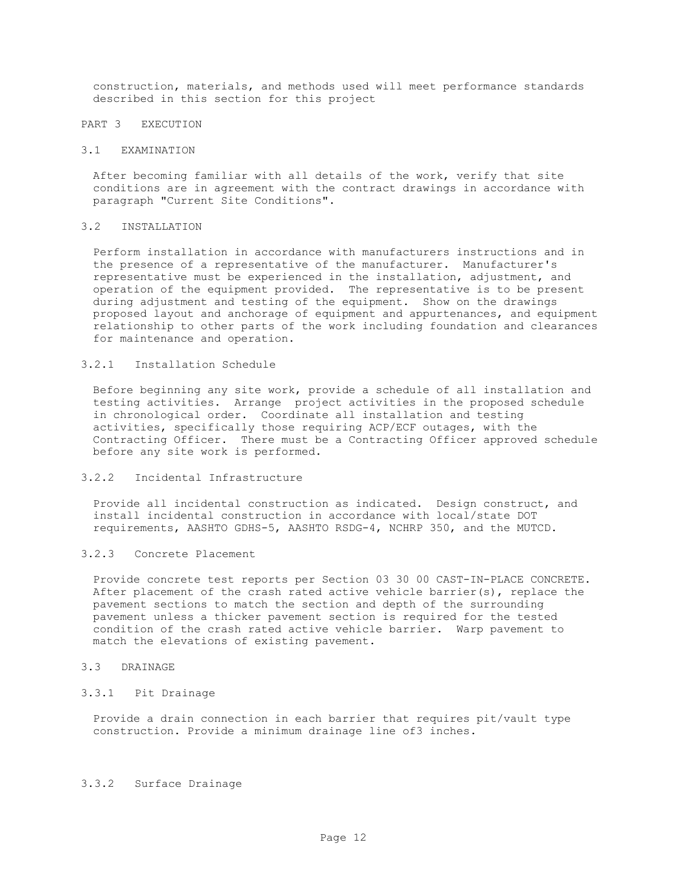construction, materials, and methods used will meet performance standards described in this section for this project

## PART 3 EXECUTION

#### 3.1 EXAMINATION

After becoming familiar with all details of the work, verify that site conditions are in agreement with the contract drawings in accordance with paragraph "Current Site Conditions".

### 3.2 INSTALLATION

Perform installation in accordance with manufacturers instructions and in the presence of a representative of the manufacturer. Manufacturer's representative must be experienced in the installation, adjustment, and operation of the equipment provided. The representative is to be present during adjustment and testing of the equipment. Show on the drawings proposed layout and anchorage of equipment and appurtenances, and equipment relationship to other parts of the work including foundation and clearances for maintenance and operation.

### 3.2.1 Installation Schedule

Before beginning any site work, provide a schedule of all installation and testing activities. Arrange project activities in the proposed schedule in chronological order. Coordinate all installation and testing activities, specifically those requiring ACP/ECF outages, with the Contracting Officer. There must be a Contracting Officer approved schedule before any site work is performed.

### 3.2.2 Incidental Infrastructure

Provide all incidental construction as indicated. Design construct, and install incidental construction in accordance with local/state DOT requirements, AASHTO GDHS-5, AASHTO RSDG-4, NCHRP 350, and the MUTCD.

## 3.2.3 Concrete Placement

Provide concrete test reports per Section 03 30 00 CAST-IN-PLACE CONCRETE. After placement of the crash rated active vehicle barrier(s), replace the pavement sections to match the section and depth of the surrounding pavement unless a thicker pavement section is required for the tested condition of the crash rated active vehicle barrier. Warp pavement to match the elevations of existing pavement.

## 3.3 DRAINAGE

### 3.3.1 Pit Drainage

Provide a drain connection in each barrier that requires pit/vault type construction. Provide a minimum drainage line of3 inches.

## 3.3.2 Surface Drainage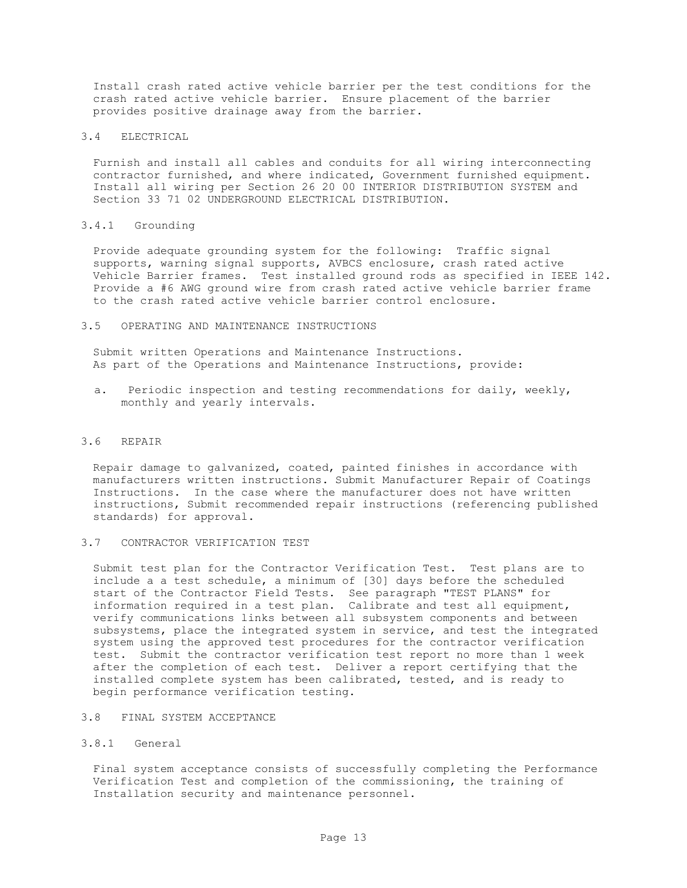Install crash rated active vehicle barrier per the test conditions for the crash rated active vehicle barrier. Ensure placement of the barrier provides positive drainage away from the barrier.

## 3.4 ELECTRICAL

Furnish and install all cables and conduits for all wiring interconnecting contractor furnished, and where indicated, Government furnished equipment. Install all wiring per Section 26 20 00 INTERIOR DISTRIBUTION SYSTEM and Section 33 71 02 UNDERGROUND ELECTRICAL DISTRIBUTION.

## 3.4.1 Grounding

Provide adequate grounding system for the following: Traffic signal supports, warning signal supports, AVBCS enclosure, crash rated active Vehicle Barrier frames. Test installed ground rods as specified in IEEE 142. Provide a #6 AWG ground wire from crash rated active vehicle barrier frame to the crash rated active vehicle barrier control enclosure.

### 3.5 OPERATING AND MAINTENANCE INSTRUCTIONS

Submit written Operations and Maintenance Instructions. As part of the Operations and Maintenance Instructions, provide:

a. Periodic inspection and testing recommendations for daily, weekly, monthly and yearly intervals.

#### 3.6 REPAIR

Repair damage to galvanized, coated, painted finishes in accordance with manufacturers written instructions. Submit Manufacturer Repair of Coatings Instructions. In the case where the manufacturer does not have written instructions, Submit recommended repair instructions (referencing published standards) for approval.

## 3.7 CONTRACTOR VERIFICATION TEST

Submit test plan for the Contractor Verification Test. Test plans are to include a a test schedule, a minimum of [30] days before the scheduled start of the Contractor Field Tests. See paragraph "TEST PLANS" for information required in a test plan. Calibrate and test all equipment, verify communications links between all subsystem components and between subsystems, place the integrated system in service, and test the integrated system using the approved test procedures for the contractor verification test. Submit the contractor verification test report no more than 1 week after the completion of each test. Deliver a report certifying that the installed complete system has been calibrated, tested, and is ready to begin performance verification testing.

#### 3.8 FINAL SYSTEM ACCEPTANCE

## 3.8.1 General

Final system acceptance consists of successfully completing the Performance Verification Test and completion of the commissioning, the training of Installation security and maintenance personnel.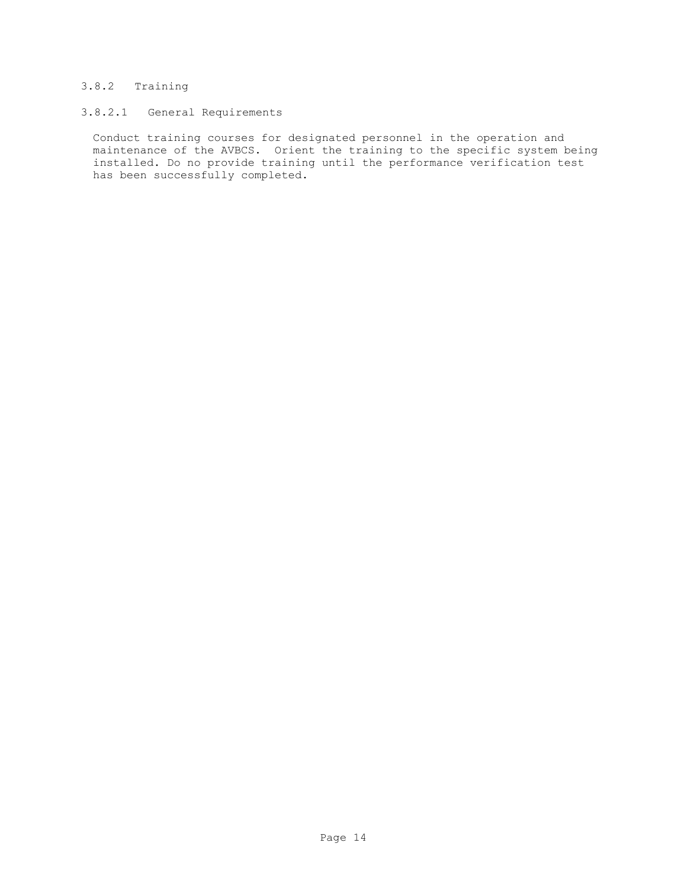# 3.8.2 Training

# 3.8.2.1 General Requirements

Conduct training courses for designated personnel in the operation and maintenance of the AVBCS. Orient the training to the specific system being installed. Do no provide training until the performance verification test has been successfully completed.